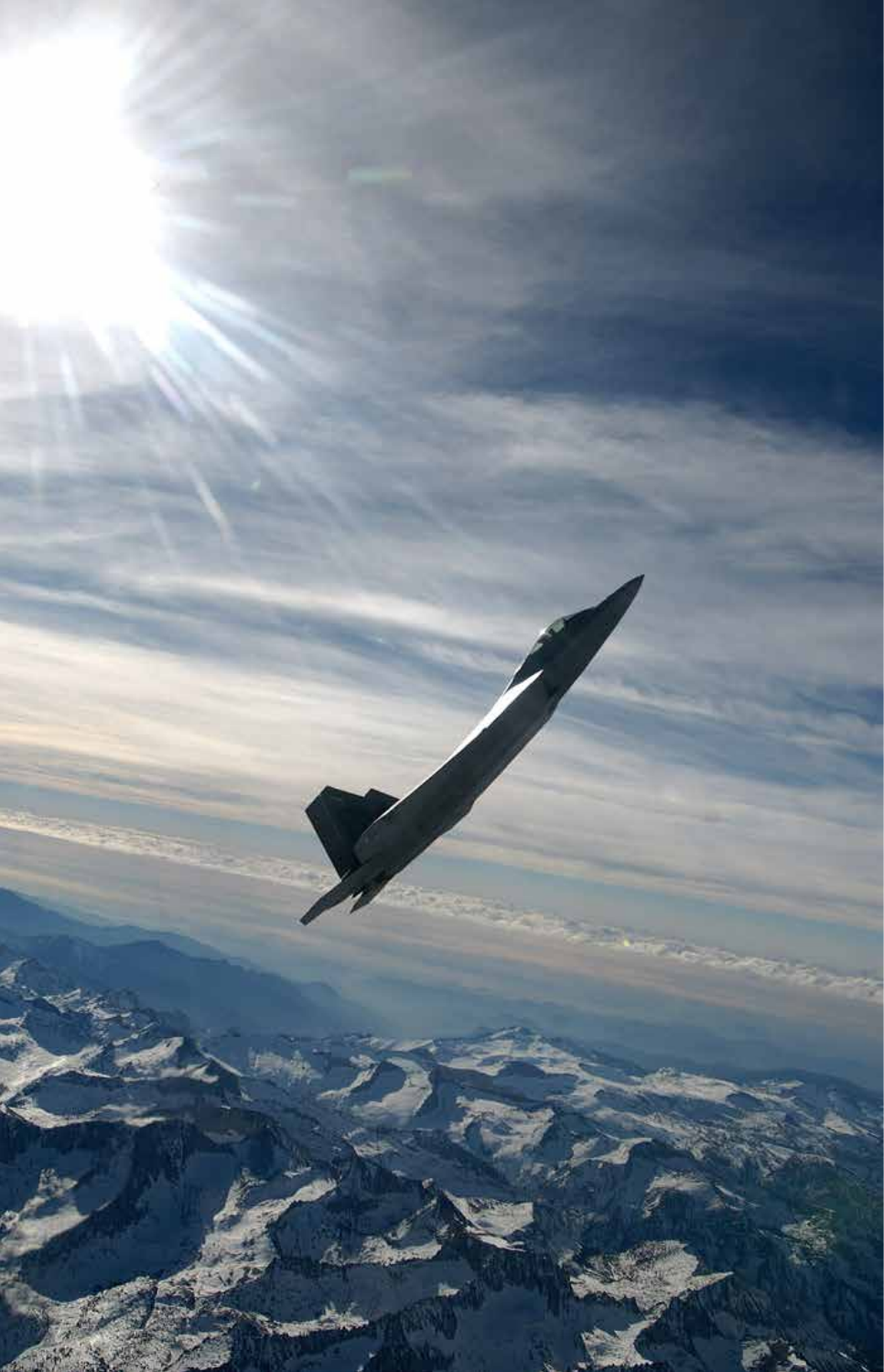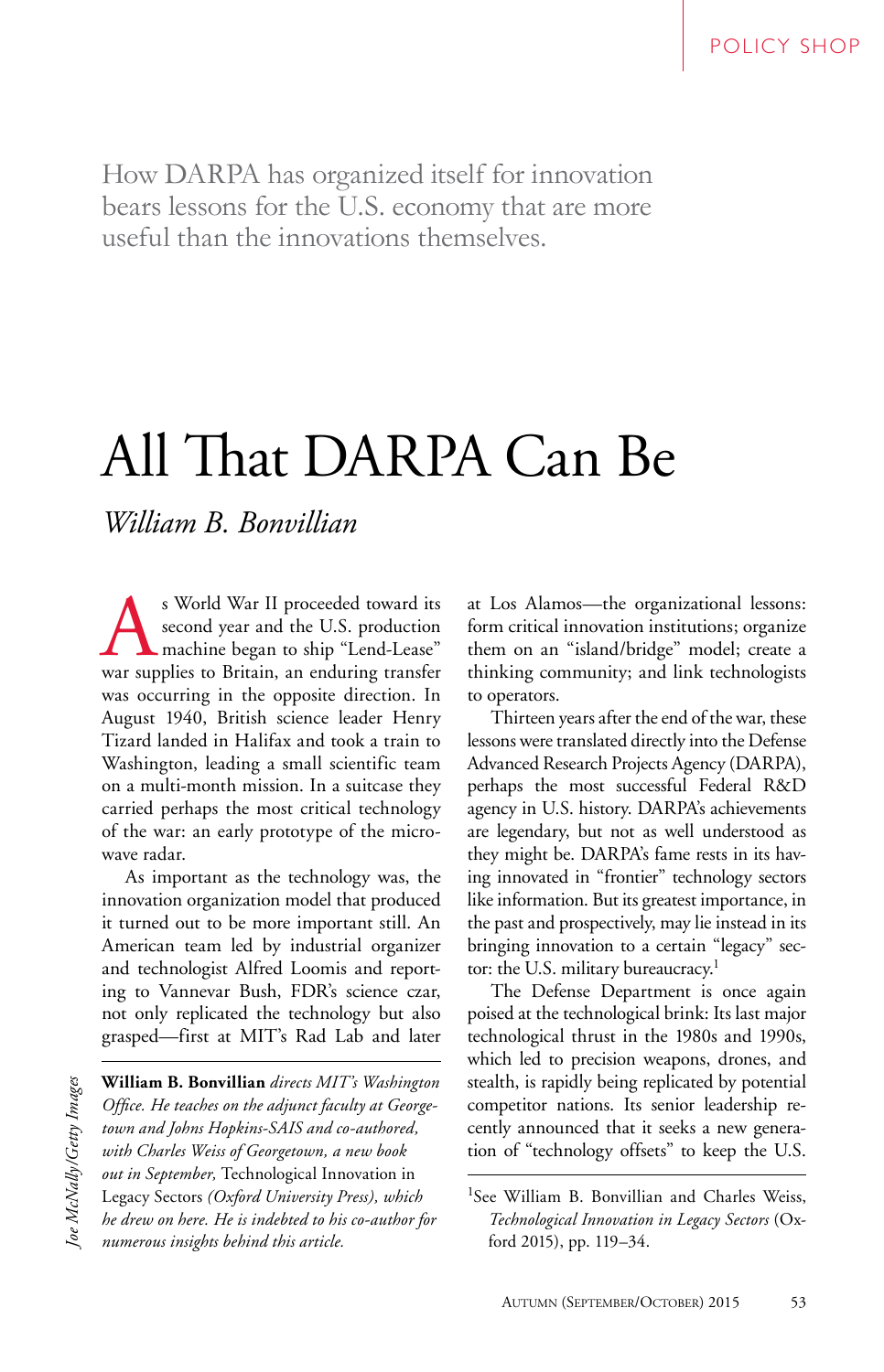How DARPA has organized itself for innovation bears lessons for the U.S. economy that are more useful than the innovations themselves.

## All That DARPA Can Be

*William B. Bonvillian*

S World War II proceeded toward its<br>second year and the U.S. production<br>machine began to ship "Lend-Lease"<br>war supplies to Britain, an enduring transfer second year and the U.S. production machine began to ship "Lend-Lease" war supplies to Britain, an enduring transfer was occurring in the opposite direction. In August 1940, British science leader Henry Tizard landed in Halifax and took a train to Washington, leading a small scientific team on a multi-month mission. In a suitcase they carried perhaps the most critical technology of the war: an early prototype of the microwave radar.

As important as the technology was, the innovation organization model that produced it turned out to be more important still. An American team led by industrial organizer and technologist Alfred Loomis and reporting to Vannevar Bush, FDR's science czar, not only replicated the technology but also grasped—first at MIT's Rad Lab and later

**William B. Bonvillian** *directs MIT's Washington Office. He teaches on the adjunct faculty at Georgetown and Johns Hopkins-SAIS and co-authored, with Charles Weiss of Georgetown, a new book out in September,* Technological Innovation in Legacy Sectors *(Oxford University Press), which he drew on here. He is indebted to his co-author for numerous insights behind this article.*

*Joe McNally/Getty Images*

oe McNally/Getty Images

at Los Alamos—the organizational lessons: form critical innovation institutions; organize them on an "island/bridge" model; create a thinking community; and link technologists to operators.

Thirteen years after the end of the war, these lessons were translated directly into the Defense Advanced Research Projects Agency (DARPA), perhaps the most successful Federal R&D agency in U.S. history. DARPA's achievements are legendary, but not as well understood as they might be. DARPA's fame rests in its having innovated in "frontier" technology sectors like information. But its greatest importance, in the past and prospectively, may lie instead in its bringing innovation to a certain "legacy" sector: the U.S. military bureaucracy.<sup>1</sup>

The Defense Department is once again poised at the technological brink: Its last major technological thrust in the 1980s and 1990s, which led to precision weapons, drones, and stealth, is rapidly being replicated by potential competitor nations. Its senior leadership recently announced that it seeks a new generation of "technology offsets" to keep the U.S.

<sup>1</sup>See William B. Bonvillian and Charles Weiss, *Technological Innovation in Legacy Sectors* (Oxford 2015), pp. 119–34.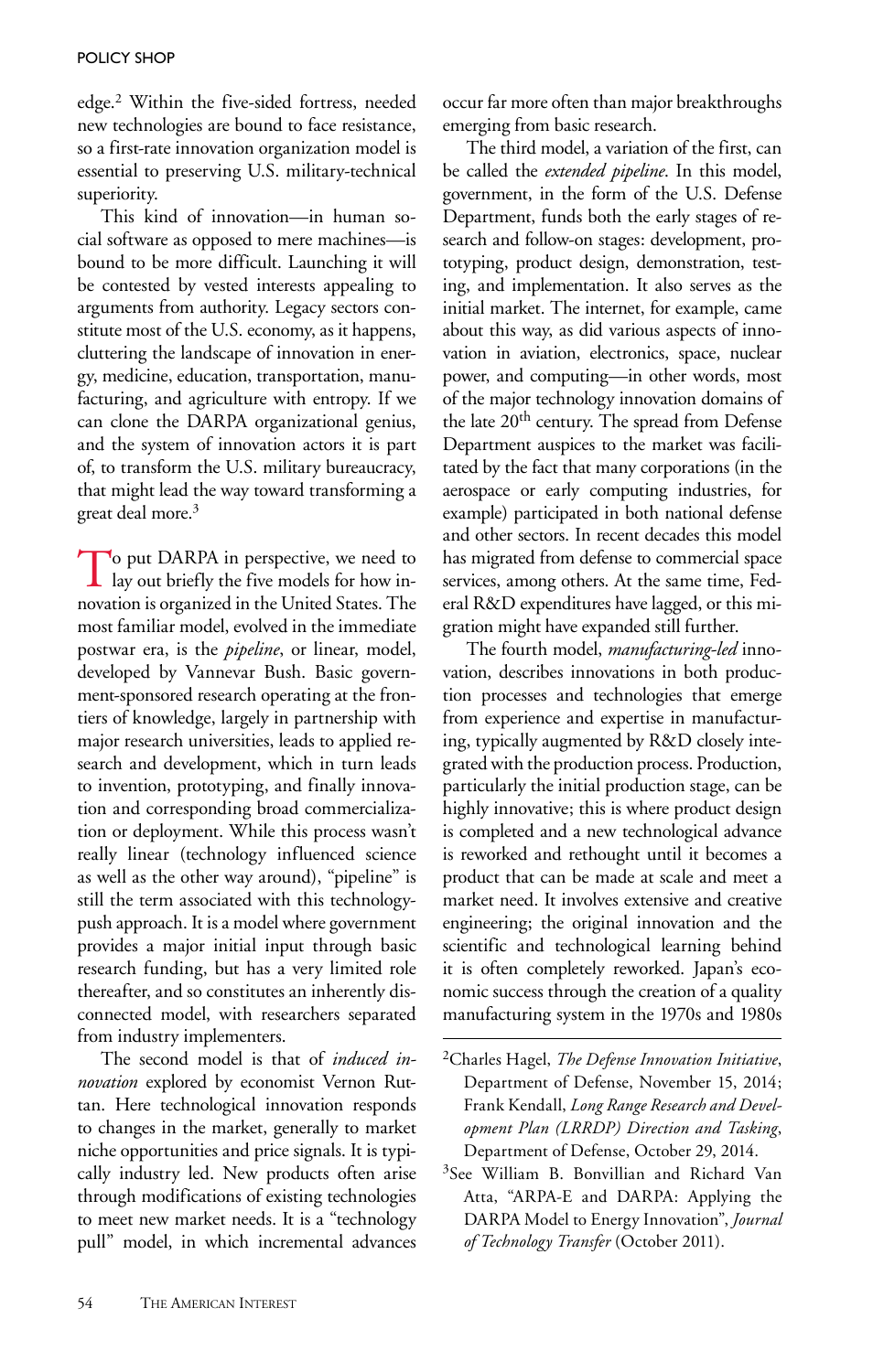edge.2 Within the five-sided fortress, needed new technologies are bound to face resistance, so a first-rate innovation organization model is essential to preserving U.S. military-technical superiority.

This kind of innovation—in human social software as opposed to mere machines—is bound to be more difficult. Launching it will be contested by vested interests appealing to arguments from authority. Legacy sectors constitute most of the U.S. economy, as it happens, cluttering the landscape of innovation in energy, medicine, education, transportation, manufacturing, and agriculture with entropy. If we can clone the DARPA organizational genius, and the system of innovation actors it is part of, to transform the U.S. military bureaucracy, that might lead the way toward transforming a great deal more.3

To put DARPA in perspective, we need to lay out briefly the five models for how innovation is organized in the United States. The most familiar model, evolved in the immediate postwar era, is the *pipeline*, or linear, model, developed by Vannevar Bush. Basic government-sponsored research operating at the frontiers of knowledge, largely in partnership with major research universities, leads to applied research and development, which in turn leads to invention, prototyping, and finally innovation and corresponding broad commercialization or deployment. While this process wasn't really linear (technology influenced science as well as the other way around), "pipeline" is still the term associated with this technologypush approach. It is a model where government provides a major initial input through basic research funding, but has a very limited role thereafter, and so constitutes an inherently disconnected model, with researchers separated from industry implementers.

The second model is that of *induced innovation* explored by economist Vernon Ruttan. Here technological innovation responds to changes in the market, generally to market niche opportunities and price signals. It is typically industry led. New products often arise through modifications of existing technologies to meet new market needs. It is a "technology pull" model, in which incremental advances occur far more often than major breakthroughs emerging from basic research.

The third model, a variation of the first, can be called the *extended pipeline*. In this model, government, in the form of the U.S. Defense Department, funds both the early stages of research and follow-on stages: development, prototyping, product design, demonstration, testing, and implementation. It also serves as the initial market. The internet, for example, came about this way, as did various aspects of innovation in aviation, electronics, space, nuclear power, and computing—in other words, most of the major technology innovation domains of the late 20<sup>th</sup> century. The spread from Defense Department auspices to the market was facilitated by the fact that many corporations (in the aerospace or early computing industries, for example) participated in both national defense and other sectors. In recent decades this model has migrated from defense to commercial space services, among others. At the same time, Federal R&D expenditures have lagged, or this migration might have expanded still further.

The fourth model, *manufacturing-led* innovation, describes innovations in both production processes and technologies that emerge from experience and expertise in manufacturing, typically augmented by R&D closely integrated with the production process. Production, particularly the initial production stage, can be highly innovative; this is where product design is completed and a new technological advance is reworked and rethought until it becomes a product that can be made at scale and meet a market need. It involves extensive and creative engineering; the original innovation and the scientific and technological learning behind it is often completely reworked. Japan's economic success through the creation of a quality manufacturing system in the 1970s and 1980s

<sup>2</sup>Charles Hagel, *The Defense Innovation Initiative*, Department of Defense, November 15, 2014; Frank Kendall, *Long Range Research and Development Plan (LRRDP) Direction and Tasking*, Department of Defense, October 29, 2014.

<sup>3</sup>See William B. Bonvillian and Richard Van Atta, "ARPA-E and DARPA: Applying the DARPA Model to Energy Innovation", *Journal of Technology Transfer* (October 2011).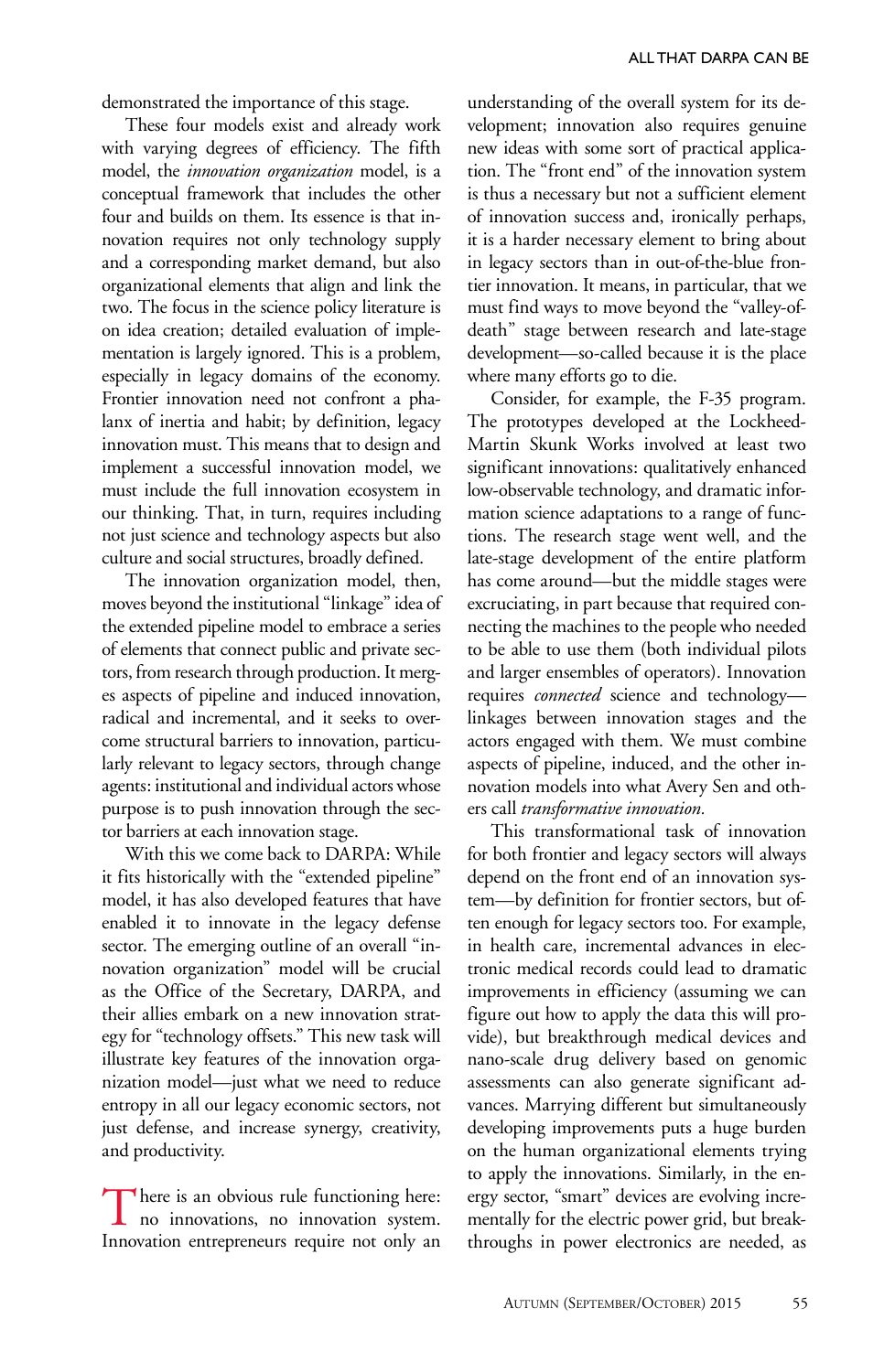demonstrated the importance of this stage.

These four models exist and already work with varying degrees of efficiency. The fifth model, the *innovation organization* model, is a conceptual framework that includes the other four and builds on them. Its essence is that innovation requires not only technology supply and a corresponding market demand, but also organizational elements that align and link the two. The focus in the science policy literature is on idea creation; detailed evaluation of implementation is largely ignored. This is a problem, especially in legacy domains of the economy. Frontier innovation need not confront a phalanx of inertia and habit; by definition, legacy innovation must. This means that to design and implement a successful innovation model, we must include the full innovation ecosystem in our thinking. That, in turn, requires including not just science and technology aspects but also culture and social structures, broadly defined.

The innovation organization model, then, moves beyond the institutional "linkage" idea of the extended pipeline model to embrace a series of elements that connect public and private sectors, from research through production. It merges aspects of pipeline and induced innovation, radical and incremental, and it seeks to overcome structural barriers to innovation, particularly relevant to legacy sectors, through change agents: institutional and individual actors whose purpose is to push innovation through the sector barriers at each innovation stage.

With this we come back to DARPA: While it fits historically with the "extended pipeline" model, it has also developed features that have enabled it to innovate in the legacy defense sector. The emerging outline of an overall "innovation organization" model will be crucial as the Office of the Secretary, DARPA, and their allies embark on a new innovation strategy for "technology offsets." This new task will illustrate key features of the innovation organization model—just what we need to reduce entropy in all our legacy economic sectors, not just defense, and increase synergy, creativity, and productivity.

There is an obvious rule functioning here: no innovations, no innovation system. Innovation entrepreneurs require not only an

understanding of the overall system for its development; innovation also requires genuine new ideas with some sort of practical application. The "front end" of the innovation system is thus a necessary but not a sufficient element of innovation success and, ironically perhaps, it is a harder necessary element to bring about in legacy sectors than in out-of-the-blue frontier innovation. It means, in particular, that we must find ways to move beyond the "valley-ofdeath" stage between research and late-stage development—so-called because it is the place where many efforts go to die.

Consider, for example, the F-35 program. The prototypes developed at the Lockheed-Martin Skunk Works involved at least two significant innovations: qualitatively enhanced low-observable technology, and dramatic information science adaptations to a range of functions. The research stage went well, and the late-stage development of the entire platform has come around—but the middle stages were excruciating, in part because that required connecting the machines to the people who needed to be able to use them (both individual pilots and larger ensembles of operators). Innovation requires *connected* science and technology linkages between innovation stages and the actors engaged with them. We must combine aspects of pipeline, induced, and the other innovation models into what Avery Sen and others call *transformative innovation.*

This transformational task of innovation for both frontier and legacy sectors will always depend on the front end of an innovation system—by definition for frontier sectors, but often enough for legacy sectors too. For example, in health care, incremental advances in electronic medical records could lead to dramatic improvements in efficiency (assuming we can figure out how to apply the data this will provide), but breakthrough medical devices and nano-scale drug delivery based on genomic assessments can also generate significant advances. Marrying different but simultaneously developing improvements puts a huge burden on the human organizational elements trying to apply the innovations. Similarly, in the energy sector, "smart" devices are evolving incrementally for the electric power grid, but breakthroughs in power electronics are needed, as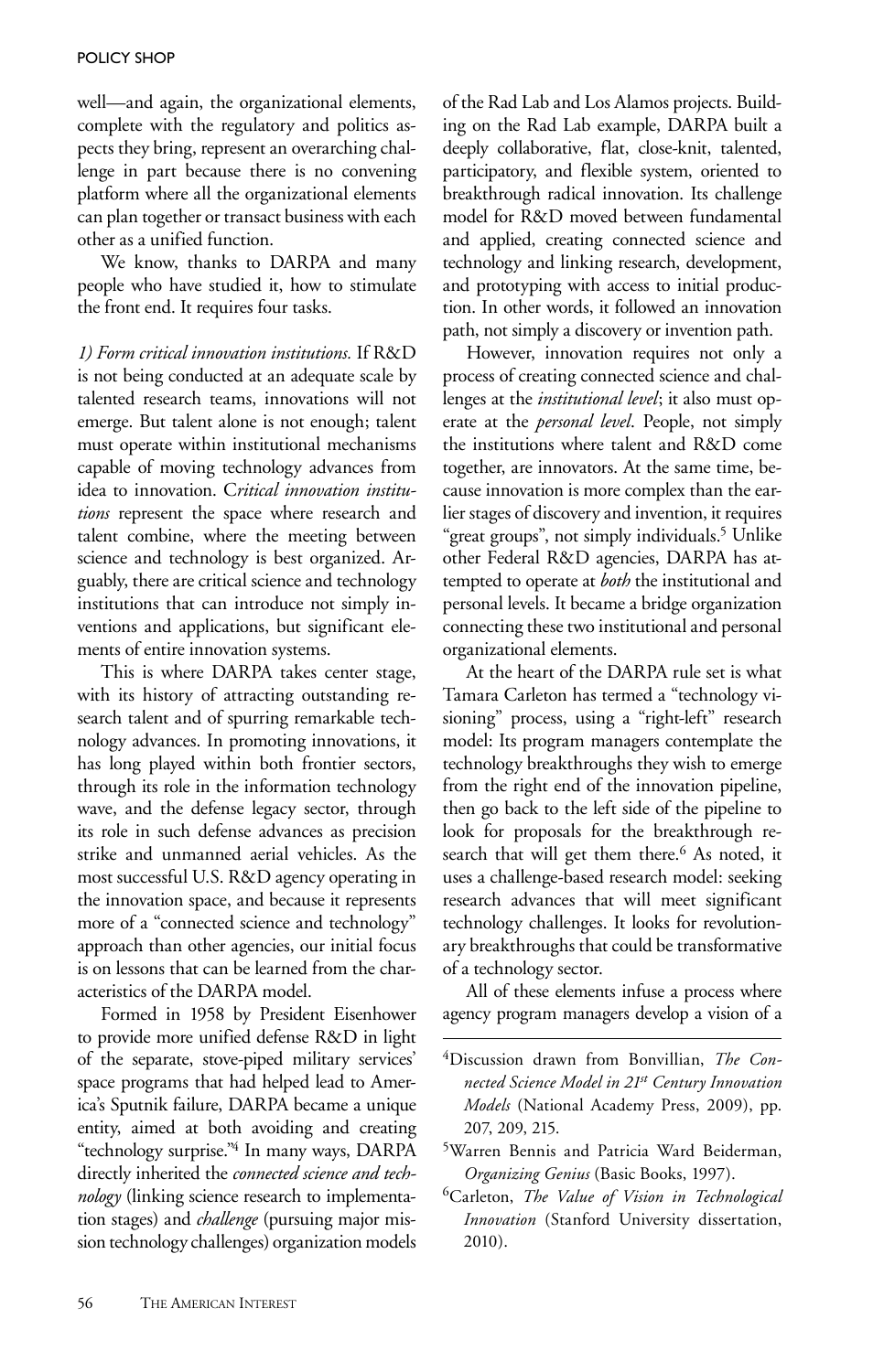well—and again, the organizational elements, complete with the regulatory and politics aspects they bring, represent an overarching challenge in part because there is no convening platform where all the organizational elements can plan together or transact business with each other as a unified function.

We know, thanks to DARPA and many people who have studied it, how to stimulate the front end. It requires four tasks.

*1) Form critical innovation institutions.* If R&D is not being conducted at an adequate scale by talented research teams, innovations will not emerge. But talent alone is not enough; talent must operate within institutional mechanisms capable of moving technology advances from idea to innovation. C*ritical innovation institutions* represent the space where research and talent combine, where the meeting between science and technology is best organized. Arguably, there are critical science and technology institutions that can introduce not simply inventions and applications, but significant elements of entire innovation systems.

This is where DARPA takes center stage, with its history of attracting outstanding research talent and of spurring remarkable technology advances. In promoting innovations, it has long played within both frontier sectors, through its role in the information technology wave, and the defense legacy sector, through its role in such defense advances as precision strike and unmanned aerial vehicles. As the most successful U.S. R&D agency operating in the innovation space, and because it represents more of a "connected science and technology" approach than other agencies, our initial focus is on lessons that can be learned from the characteristics of the DARPA model.

Formed in 1958 by President Eisenhower to provide more unified defense R&D in light of the separate, stove-piped military services' space programs that had helped lead to America's Sputnik failure, DARPA became a unique entity, aimed at both avoiding and creating "technology surprise."4 In many ways, DARPA directly inherited the *connected science and technology* (linking science research to implementation stages) and *challenge* (pursuing major mission technology challenges) organization models of the Rad Lab and Los Alamos projects. Building on the Rad Lab example, DARPA built a deeply collaborative, flat, close-knit, talented, participatory, and flexible system, oriented to breakthrough radical innovation. Its challenge model for R&D moved between fundamental and applied, creating connected science and technology and linking research, development, and prototyping with access to initial production. In other words, it followed an innovation path, not simply a discovery or invention path.

However, innovation requires not only a process of creating connected science and challenges at the *institutional level*; it also must operate at the *personal level*. People, not simply the institutions where talent and R&D come together, are innovators. At the same time, because innovation is more complex than the earlier stages of discovery and invention, it requires "great groups", not simply individuals.<sup>5</sup> Unlike other Federal R&D agencies, DARPA has attempted to operate at *both* the institutional and personal levels. It became a bridge organization connecting these two institutional and personal organizational elements.

At the heart of the DARPA rule set is what Tamara Carleton has termed a "technology visioning" process, using a "right-left" research model: Its program managers contemplate the technology breakthroughs they wish to emerge from the right end of the innovation pipeline, then go back to the left side of the pipeline to look for proposals for the breakthrough research that will get them there.<sup>6</sup> As noted, it uses a challenge-based research model: seeking research advances that will meet significant technology challenges. It looks for revolutionary breakthroughs that could be transformative of a technology sector.

All of these elements infuse a process where agency program managers develop a vision of a

<sup>4</sup>Discussion drawn from Bonvillian, *The Connected Science Model in 21st Century Innovation Models* (National Academy Press, 2009), pp. 207, 209, 215.

<sup>5</sup>Warren Bennis and Patricia Ward Beiderman, *Organizing Genius* (Basic Books, 1997).

<sup>6</sup>Carleton, *The Value of Vision in Technological Innovation* (Stanford University dissertation, 2010).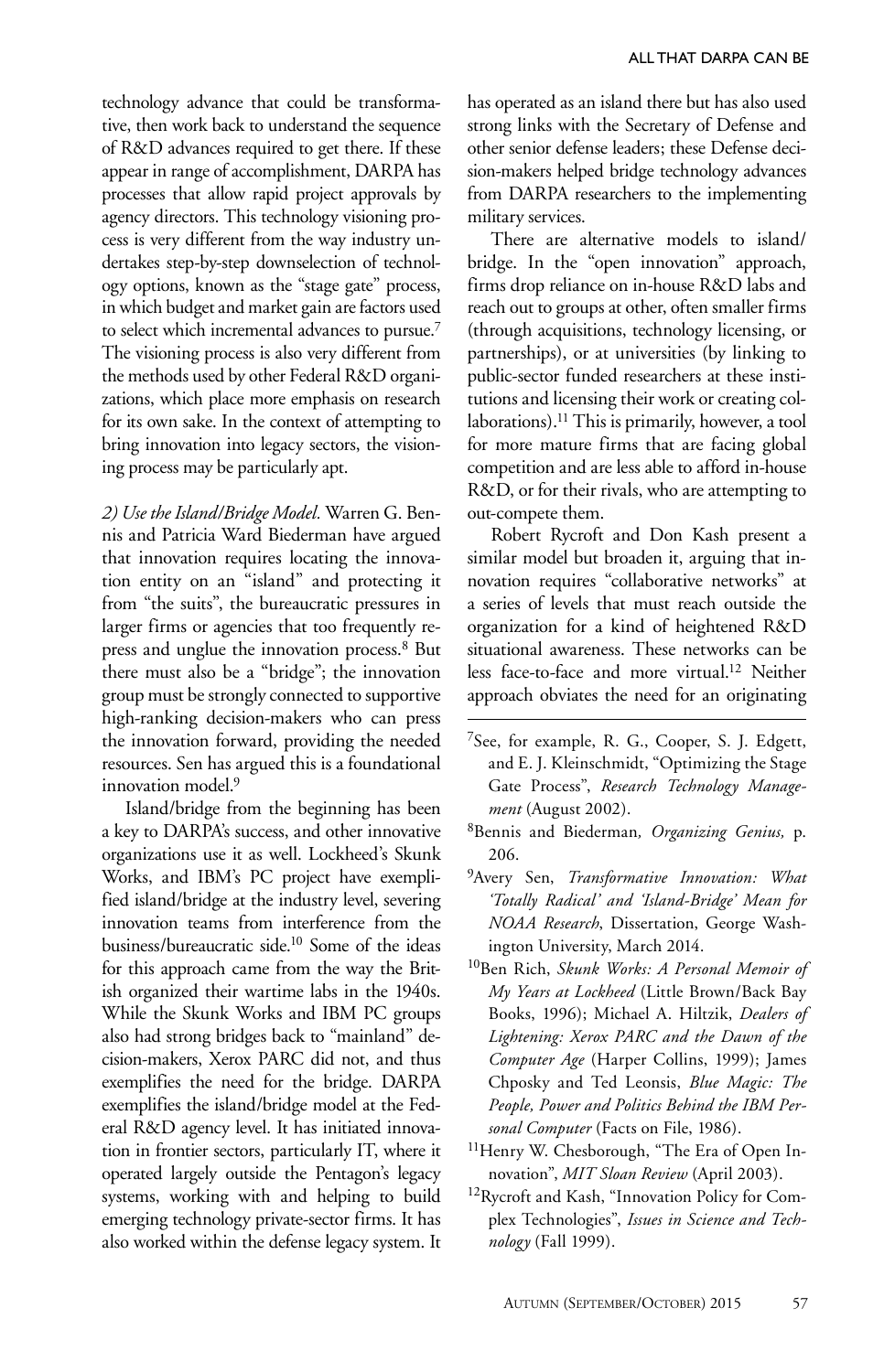technology advance that could be transformative, then work back to understand the sequence of R&D advances required to get there. If these appear in range of accomplishment, DARPA has processes that allow rapid project approvals by agency directors. This technology visioning process is very different from the way industry undertakes step-by-step downselection of technology options, known as the "stage gate" process, in which budget and market gain are factors used to select which incremental advances to pursue.7 The visioning process is also very different from the methods used by other Federal R&D organizations, which place more emphasis on research for its own sake. In the context of attempting to bring innovation into legacy sectors, the visioning process may be particularly apt.

*2) Use the Island/Bridge Model.* Warren G. Bennis and Patricia Ward Biederman have argued that innovation requires locating the innovation entity on an "island" and protecting it from "the suits", the bureaucratic pressures in larger firms or agencies that too frequently repress and unglue the innovation process.8 But there must also be a "bridge"; the innovation group must be strongly connected to supportive high-ranking decision-makers who can press the innovation forward, providing the needed resources. Sen has argued this is a foundational innovation model.<sup>9</sup>

Island/bridge from the beginning has been a key to DARPA's success, and other innovative organizations use it as well. Lockheed's Skunk Works, and IBM's PC project have exemplified island/bridge at the industry level, severing innovation teams from interference from the business/bureaucratic side.10 Some of the ideas for this approach came from the way the British organized their wartime labs in the 1940s. While the Skunk Works and IBM PC groups also had strong bridges back to "mainland" decision-makers, Xerox PARC did not, and thus exemplifies the need for the bridge. DARPA exemplifies the island/bridge model at the Federal R&D agency level. It has initiated innovation in frontier sectors, particularly IT, where it operated largely outside the Pentagon's legacy systems, working with and helping to build emerging technology private-sector firms. It has also worked within the defense legacy system. It

has operated as an island there but has also used strong links with the Secretary of Defense and other senior defense leaders; these Defense decision-makers helped bridge technology advances from DARPA researchers to the implementing military services.

There are alternative models to island/ bridge. In the "open innovation" approach, firms drop reliance on in-house R&D labs and reach out to groups at other, often smaller firms (through acquisitions, technology licensing, or partnerships), or at universities (by linking to public-sector funded researchers at these institutions and licensing their work or creating collaborations).11 This is primarily, however, a tool for more mature firms that are facing global competition and are less able to afford in-house R&D, or for their rivals, who are attempting to out-compete them.

Robert Rycroft and Don Kash present a similar model but broaden it, arguing that innovation requires "collaborative networks" at a series of levels that must reach outside the organization for a kind of heightened R&D situational awareness. These networks can be less face-to-face and more virtual.12 Neither approach obviates the need for an originating

- 7See, for example, R. G., Cooper, S. J. Edgett, and E. J. Kleinschmidt, "Optimizing the Stage Gate Process", *Research Technology Management* (August 2002).
- 8Bennis and Biederman*, Organizing Genius,* p. 206.
- 9Avery Sen, *Transformative Innovation: What 'Totally Radical' and 'Island-Bridge' Mean for NOAA Research*, Dissertation, George Washington University, March 2014.
- 10Ben Rich, *Skunk Works: A Personal Memoir of My Years at Lockheed* (Little Brown/Back Bay Books, 1996); Michael A. Hiltzik, *Dealers of Lightening: Xerox PARC and the Dawn of the Computer Age* (Harper Collins, 1999); James Chposky and Ted Leonsis, *Blue Magic: The People, Power and Politics Behind the IBM Personal Computer* (Facts on File, 1986).
- 11Henry W. Chesborough, "The Era of Open Innovation", *MIT Sloan Review* (April 2003).
- 12Rycroft and Kash, "Innovation Policy for Complex Technologies", *Issues in Science and Technology* (Fall 1999).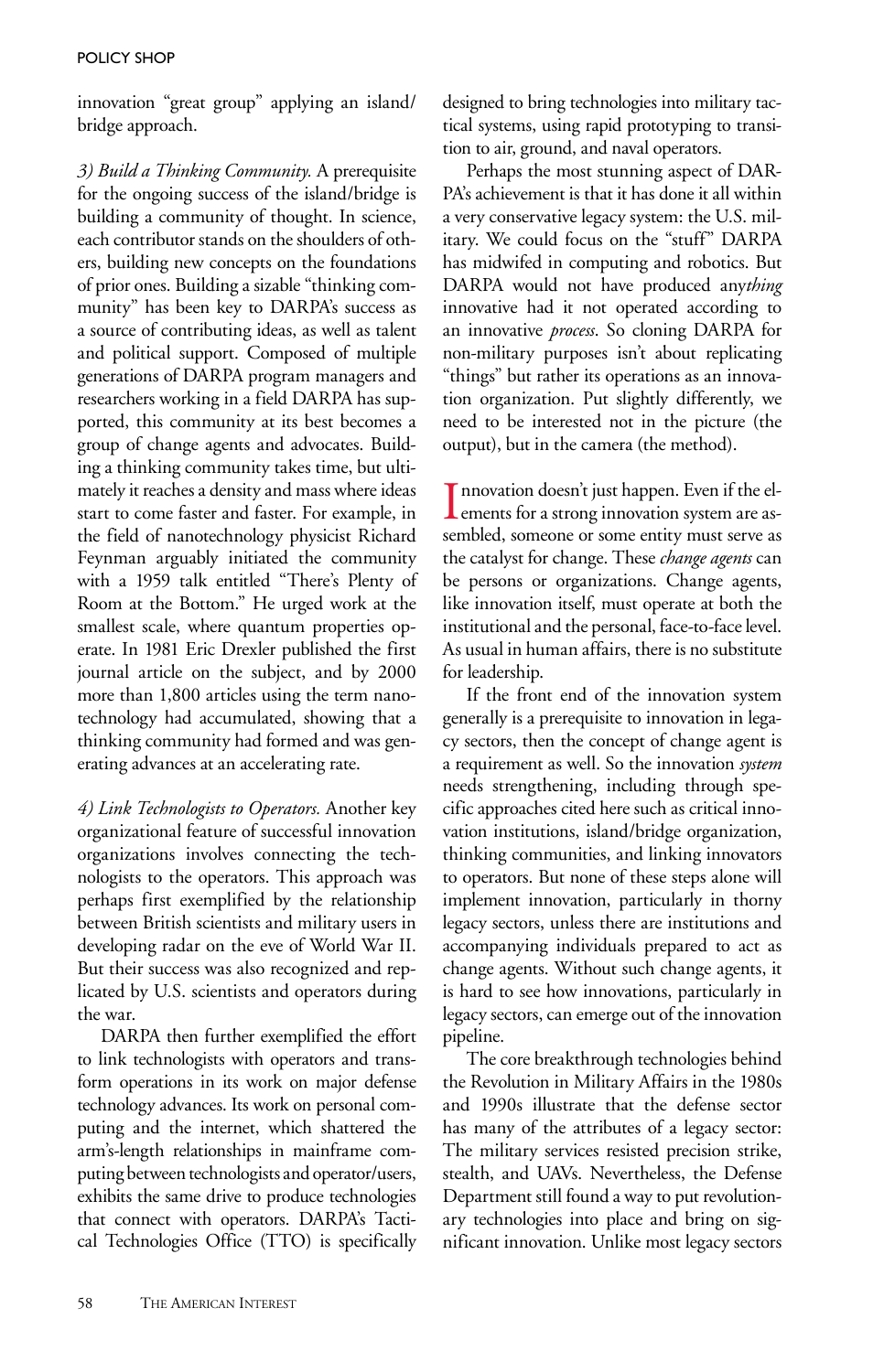innovation "great group" applying an island/ bridge approach.

*3) Build a Thinking Community.* A prerequisite for the ongoing success of the island/bridge is building a community of thought. In science, each contributor stands on the shoulders of others, building new concepts on the foundations of prior ones. Building a sizable "thinking community" has been key to DARPA's success as a source of contributing ideas, as well as talent and political support. Composed of multiple generations of DARPA program managers and researchers working in a field DARPA has supported, this community at its best becomes a group of change agents and advocates. Building a thinking community takes time, but ultimately it reaches a density and mass where ideas start to come faster and faster. For example, in the field of nanotechnology physicist Richard Feynman arguably initiated the community with a 1959 talk entitled "There's Plenty of Room at the Bottom." He urged work at the smallest scale, where quantum properties operate. In 1981 Eric Drexler published the first journal article on the subject, and by 2000 more than 1,800 articles using the term nanotechnology had accumulated, showing that a thinking community had formed and was generating advances at an accelerating rate.

*4) Link Technologists to Operators.* Another key organizational feature of successful innovation organizations involves connecting the technologists to the operators. This approach was perhaps first exemplified by the relationship between British scientists and military users in developing radar on the eve of World War II. But their success was also recognized and replicated by U.S. scientists and operators during the war.

DARPA then further exemplified the effort to link technologists with operators and transform operations in its work on major defense technology advances. Its work on personal computing and the internet, which shattered the arm's-length relationships in mainframe computing between technologists and operator/users, exhibits the same drive to produce technologies that connect with operators. DARPA's Tactical Technologies Office (TTO) is specifically designed to bring technologies into military tactical systems, using rapid prototyping to transition to air, ground, and naval operators.

Perhaps the most stunning aspect of DAR-PA's achievement is that it has done it all within a very conservative legacy system: the U.S. military. We could focus on the "stuff" DARPA has midwifed in computing and robotics. But DARPA would not have produced any*thing* innovative had it not operated according to an innovative *process*. So cloning DARPA for non-military purposes isn't about replicating "things" but rather its operations as an innovation organization. Put slightly differently, we need to be interested not in the picture (the output), but in the camera (the method).

Innovation doesn't just happen. Even if the el-<br>ements for a strong innovation system are asnnovation doesn't just happen. Even if the elsembled, someone or some entity must serve as the catalyst for change. These *change agents* can be persons or organizations. Change agents, like innovation itself, must operate at both the institutional and the personal, face-to-face level. As usual in human affairs, there is no substitute for leadership.

If the front end of the innovation system generally is a prerequisite to innovation in legacy sectors, then the concept of change agent is a requirement as well. So the innovation *system* needs strengthening, including through specific approaches cited here such as critical innovation institutions, island/bridge organization, thinking communities, and linking innovators to operators. But none of these steps alone will implement innovation, particularly in thorny legacy sectors, unless there are institutions and accompanying individuals prepared to act as change agents. Without such change agents, it is hard to see how innovations, particularly in legacy sectors, can emerge out of the innovation pipeline.

The core breakthrough technologies behind the Revolution in Military Affairs in the 1980s and 1990s illustrate that the defense sector has many of the attributes of a legacy sector: The military services resisted precision strike, stealth, and UAVs. Nevertheless, the Defense Department still found a way to put revolutionary technologies into place and bring on significant innovation. Unlike most legacy sectors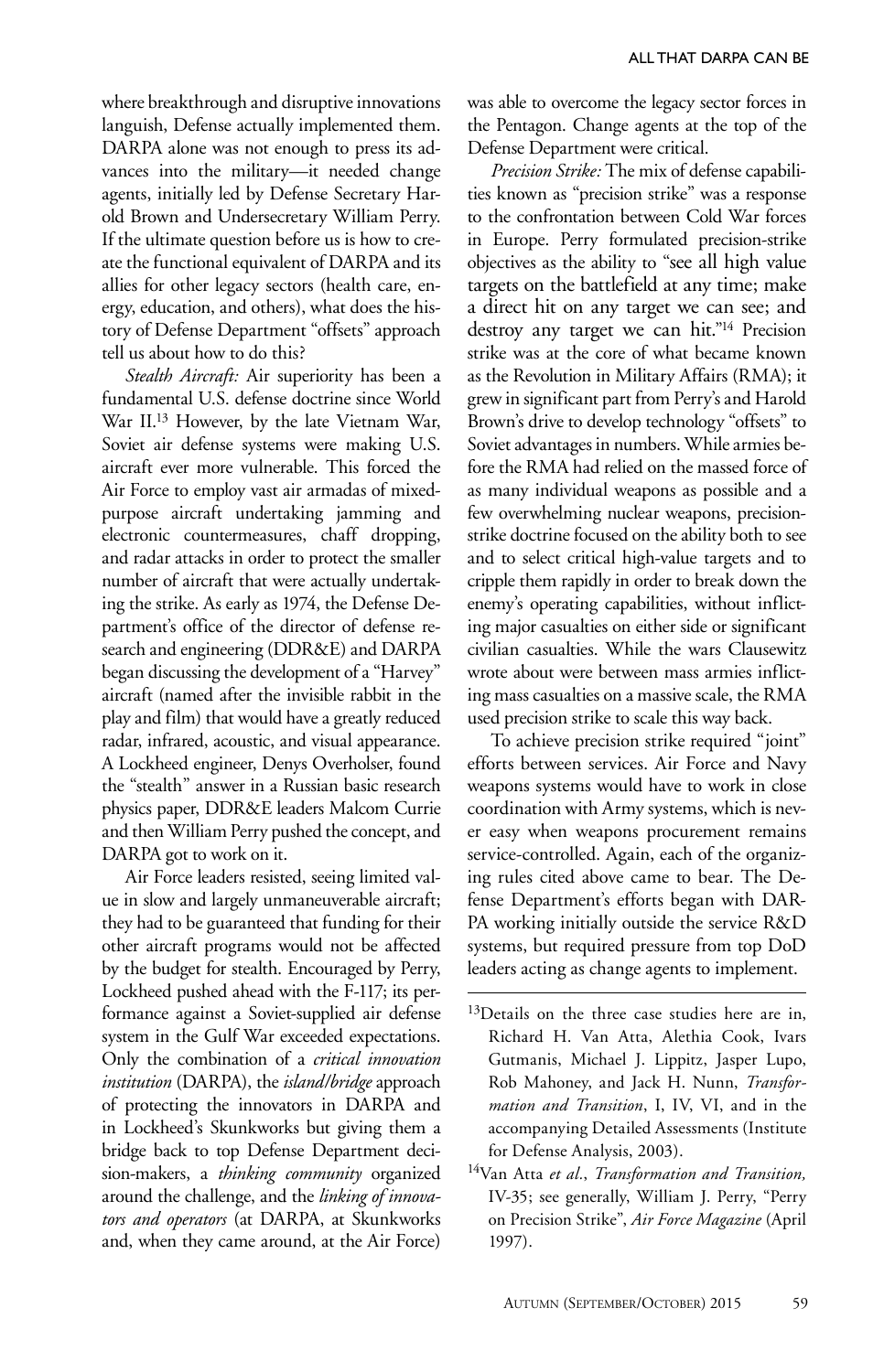where breakthrough and disruptive innovations languish, Defense actually implemented them. DARPA alone was not enough to press its advances into the military—it needed change agents, initially led by Defense Secretary Harold Brown and Undersecretary William Perry. If the ultimate question before us is how to create the functional equivalent of DARPA and its allies for other legacy sectors (health care, energy, education, and others), what does the history of Defense Department "offsets" approach tell us about how to do this?

*Stealth Aircraft:* Air superiority has been a fundamental U.S. defense doctrine since World War II.<sup>13</sup> However, by the late Vietnam War, Soviet air defense systems were making U.S. aircraft ever more vulnerable. This forced the Air Force to employ vast air armadas of mixedpurpose aircraft undertaking jamming and electronic countermeasures, chaff dropping, and radar attacks in order to protect the smaller number of aircraft that were actually undertaking the strike. As early as 1974, the Defense Department's office of the director of defense research and engineering (DDR&E) and DARPA began discussing the development of a "Harvey" aircraft (named after the invisible rabbit in the play and film) that would have a greatly reduced radar, infrared, acoustic, and visual appearance. A Lockheed engineer, Denys Overholser, found the "stealth" answer in a Russian basic research physics paper, DDR&E leaders Malcom Currie and then William Perry pushed the concept, and DARPA got to work on it.

Air Force leaders resisted, seeing limited value in slow and largely unmaneuverable aircraft; they had to be guaranteed that funding for their other aircraft programs would not be affected by the budget for stealth. Encouraged by Perry, Lockheed pushed ahead with the F-117; its performance against a Soviet-supplied air defense system in the Gulf War exceeded expectations. Only the combination of a *critical innovation institution* (DARPA), the *island/bridge* approach of protecting the innovators in DARPA and in Lockheed's Skunkworks but giving them a bridge back to top Defense Department decision-makers, a *thinking community* organized around the challenge, and the *linking of innovators and operators* (at DARPA, at Skunkworks and, when they came around, at the Air Force)

was able to overcome the legacy sector forces in the Pentagon. Change agents at the top of the Defense Department were critical.

*Precision Strike:* The mix of defense capabilities known as "precision strike" was a response to the confrontation between Cold War forces in Europe. Perry formulated precision-strike objectives as the ability to "see all high value targets on the battlefield at any time; make a direct hit on any target we can see; and destroy any target we can hit."14 Precision strike was at the core of what became known as the Revolution in Military Affairs (RMA); it grew in significant part from Perry's and Harold Brown's drive to develop technology "offsets" to Soviet advantages in numbers. While armies before the RMA had relied on the massed force of as many individual weapons as possible and a few overwhelming nuclear weapons, precisionstrike doctrine focused on the ability both to see and to select critical high-value targets and to cripple them rapidly in order to break down the enemy's operating capabilities, without inflicting major casualties on either side or significant civilian casualties. While the wars Clausewitz wrote about were between mass armies inflicting mass casualties on a massive scale, the RMA used precision strike to scale this way back.

To achieve precision strike required "joint" efforts between services. Air Force and Navy weapons systems would have to work in close coordination with Army systems, which is never easy when weapons procurement remains service-controlled. Again, each of the organizing rules cited above came to bear. The Defense Department's efforts began with DAR-PA working initially outside the service R&D systems, but required pressure from top DoD leaders acting as change agents to implement.

 $13$ Details on the three case studies here are in, Richard H. Van Atta, Alethia Cook, Ivars Gutmanis, Michael J. Lippitz, Jasper Lupo, Rob Mahoney, and Jack H. Nunn, *Transformation and Transition*, I, IV, VI, and in the accompanying Detailed Assessments (Institute for Defense Analysis, 2003).

<sup>14</sup>Van Atta *et al.*, *Transformation and Transition,*  IV-35; see generally, William J. Perry, "Perry on Precision Strike", *Air Force Magazine* (April 1997).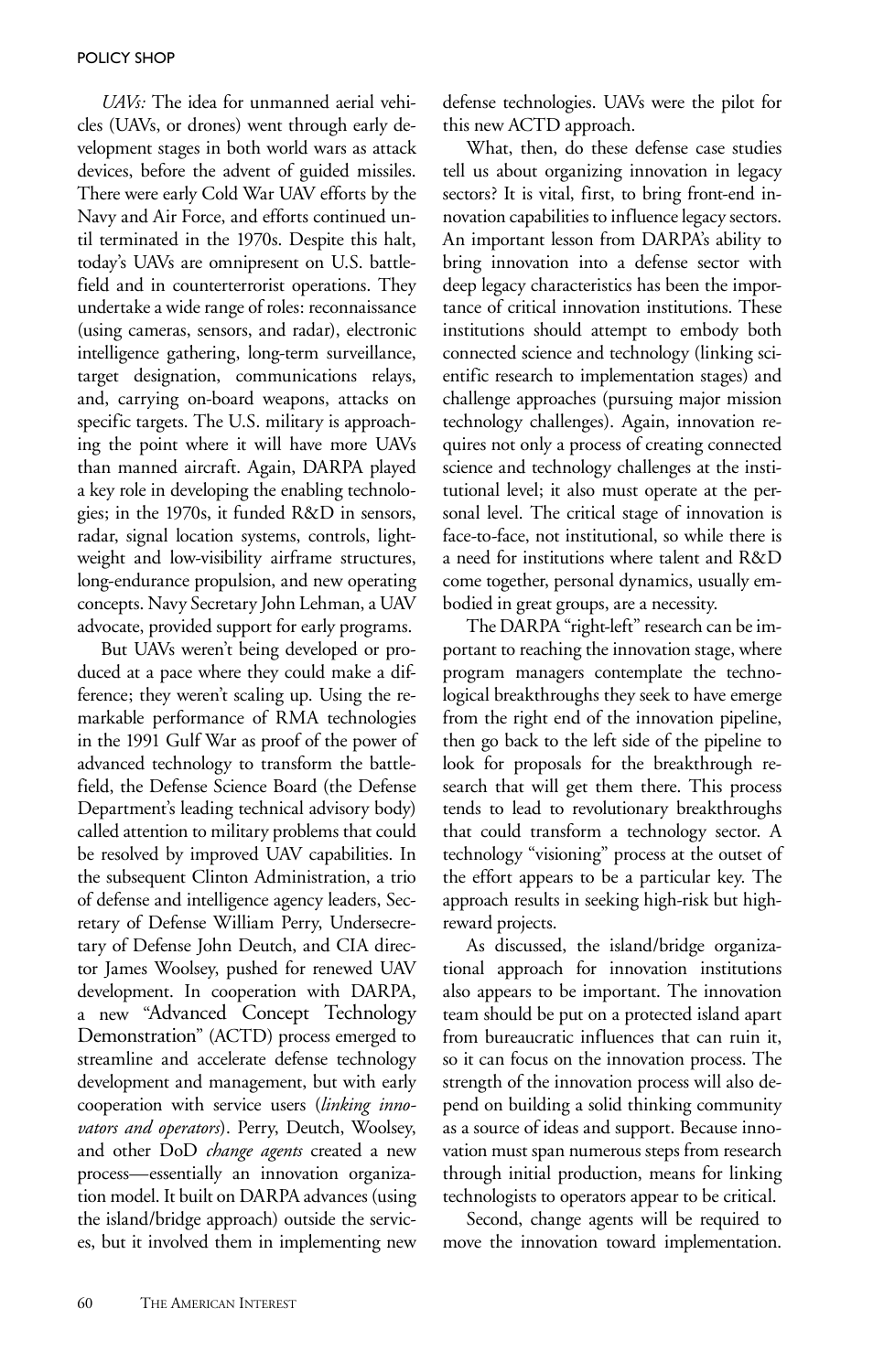*UAVs:* The idea for unmanned aerial vehicles (UAVs, or drones) went through early development stages in both world wars as attack devices, before the advent of guided missiles. There were early Cold War UAV efforts by the Navy and Air Force, and efforts continued until terminated in the 1970s. Despite this halt, today's UAVs are omnipresent on U.S. battlefield and in counterterrorist operations. They undertake a wide range of roles: reconnaissance (using cameras, sensors, and radar), electronic intelligence gathering, long-term surveillance, target designation, communications relays, and, carrying on-board weapons, attacks on specific targets. The U.S. military is approaching the point where it will have more UAVs than manned aircraft. Again, DARPA played a key role in developing the enabling technologies; in the 1970s, it funded R&D in sensors, radar, signal location systems, controls, lightweight and low-visibility airframe structures, long-endurance propulsion, and new operating concepts. Navy Secretary John Lehman, a UAV advocate, provided support for early programs.

But UAVs weren't being developed or produced at a pace where they could make a difference; they weren't scaling up. Using the remarkable performance of RMA technologies in the 1991 Gulf War as proof of the power of advanced technology to transform the battlefield, the Defense Science Board (the Defense Department's leading technical advisory body) called attention to military problems that could be resolved by improved UAV capabilities. In the subsequent Clinton Administration, a trio of defense and intelligence agency leaders, Secretary of Defense William Perry, Undersecretary of Defense John Deutch, and CIA director James Woolsey, pushed for renewed UAV development. In cooperation with DARPA, a new "Advanced Concept Technology Demonstration" (ACTD) process emerged to streamline and accelerate defense technology development and management, but with early cooperation with service users (*linking innovators and operators*). Perry, Deutch, Woolsey, and other DoD *change agents* created a new process—essentially an innovation organization model. It built on DARPA advances (using the island/bridge approach) outside the services, but it involved them in implementing new

defense technologies. UAVs were the pilot for this new ACTD approach.

What, then, do these defense case studies tell us about organizing innovation in legacy sectors? It is vital, first, to bring front-end innovation capabilities to influence legacy sectors. An important lesson from DARPA's ability to bring innovation into a defense sector with deep legacy characteristics has been the importance of critical innovation institutions. These institutions should attempt to embody both connected science and technology (linking scientific research to implementation stages) and challenge approaches (pursuing major mission technology challenges). Again, innovation requires not only a process of creating connected science and technology challenges at the institutional level; it also must operate at the personal level. The critical stage of innovation is face-to-face, not institutional, so while there is a need for institutions where talent and R&D come together, personal dynamics, usually embodied in great groups, are a necessity.

The DARPA "right-left" research can be important to reaching the innovation stage, where program managers contemplate the technological breakthroughs they seek to have emerge from the right end of the innovation pipeline, then go back to the left side of the pipeline to look for proposals for the breakthrough research that will get them there. This process tends to lead to revolutionary breakthroughs that could transform a technology sector. A technology "visioning" process at the outset of the effort appears to be a particular key. The approach results in seeking high-risk but highreward projects.

As discussed, the island/bridge organizational approach for innovation institutions also appears to be important. The innovation team should be put on a protected island apart from bureaucratic influences that can ruin it, so it can focus on the innovation process. The strength of the innovation process will also depend on building a solid thinking community as a source of ideas and support. Because innovation must span numerous steps from research through initial production, means for linking technologists to operators appear to be critical.

Second, change agents will be required to move the innovation toward implementation.